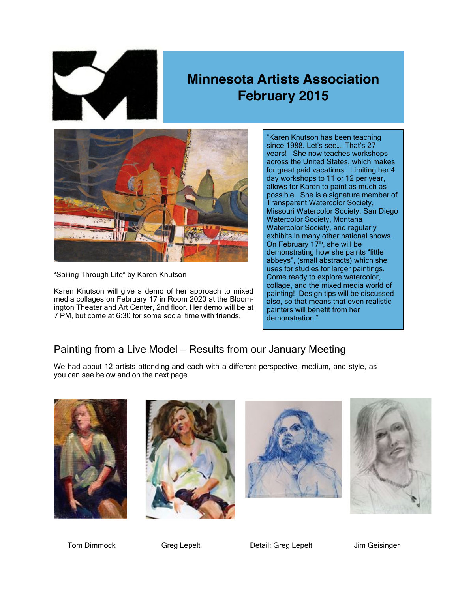

## **Minnesota Artists Association February 2015**



"Sailing Through Life" by Karen Knutson

Karen Knutson will give a demo of her approach to mixed media collages on February 17 in Room 2020 at the Bloomington Theater and Art Center, 2nd floor. Her demo will be at 7 PM, but come at 6:30 for some social time with friends.

"Karen Knutson has been teaching since 1988. Let's see…. That's 27 years! She now teaches workshops across the United States, which makes for great paid vacations! Limiting her 4 day workshops to 11 or 12 per year, allows for Karen to paint as much as possible. She is a signature member of Transparent Watercolor Society, Missouri Watercolor Society, San Diego Watercolor Society, Montana Watercolor Society, and regularly exhibits in many other national shows. On February 17<sup>th</sup>, she will be demonstrating how she paints "little abbeys", (small abstracts) which she uses for studies for larger paintings. Come ready to explore watercolor, collage, and the mixed media world of painting! Design tips will be discussed also, so that means that even realistic painters will benefit from her demonstration."

## Painting from a Live Model — Results from our January Meeting

We had about 12 artists attending and each with a different perspective, medium, and style, as you can see below and on the next page.









Tom Dimmock Greg Lepelt Detail: Greg Lepelt Jim Geisinger